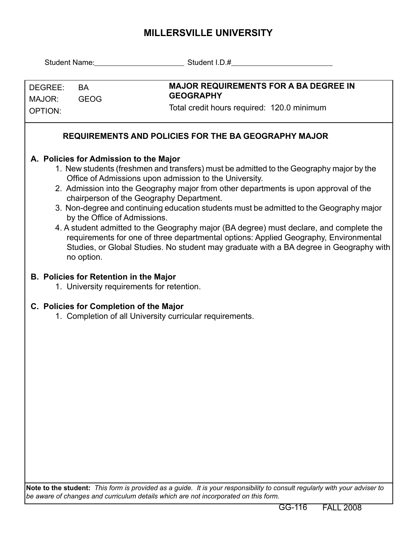## **MILLERSVILLE UNIVERSITY**

|                                                                                                                                                                                                                                                                                                                                                                                                                                                                                                                                                                                                                                                                                                                                                       |                                                                                            | Student Name: Student I.D.#                                                                                    |  |  |  |  |  |  |  |  |
|-------------------------------------------------------------------------------------------------------------------------------------------------------------------------------------------------------------------------------------------------------------------------------------------------------------------------------------------------------------------------------------------------------------------------------------------------------------------------------------------------------------------------------------------------------------------------------------------------------------------------------------------------------------------------------------------------------------------------------------------------------|--------------------------------------------------------------------------------------------|----------------------------------------------------------------------------------------------------------------|--|--|--|--|--|--|--|--|
| DEGREE:<br><b>BA</b><br><b>GEOG</b><br>MAJOR:                                                                                                                                                                                                                                                                                                                                                                                                                                                                                                                                                                                                                                                                                                         |                                                                                            | <b>MAJOR REQUIREMENTS FOR A BA DEGREE IN</b><br><b>GEOGRAPHY</b><br>Total credit hours required: 120.0 minimum |  |  |  |  |  |  |  |  |
| <b>OPTION:</b>                                                                                                                                                                                                                                                                                                                                                                                                                                                                                                                                                                                                                                                                                                                                        |                                                                                            |                                                                                                                |  |  |  |  |  |  |  |  |
| <b>REQUIREMENTS AND POLICIES FOR THE BA GEOGRAPHY MAJOR</b>                                                                                                                                                                                                                                                                                                                                                                                                                                                                                                                                                                                                                                                                                           |                                                                                            |                                                                                                                |  |  |  |  |  |  |  |  |
| A. Policies for Admission to the Major<br>1. New students (freshmen and transfers) must be admitted to the Geography major by the<br>Office of Admissions upon admission to the University.<br>2. Admission into the Geography major from other departments is upon approval of the<br>chairperson of the Geography Department.<br>3. Non-degree and continuing education students must be admitted to the Geography major<br>by the Office of Admissions.<br>4. A student admitted to the Geography major (BA degree) must declare, and complete the<br>requirements for one of three departmental options: Applied Geography, Environmental<br>Studies, or Global Studies. No student may graduate with a BA degree in Geography with<br>no option. |                                                                                            |                                                                                                                |  |  |  |  |  |  |  |  |
|                                                                                                                                                                                                                                                                                                                                                                                                                                                                                                                                                                                                                                                                                                                                                       | <b>B. Policies for Retention in the Major</b><br>1. University requirements for retention. |                                                                                                                |  |  |  |  |  |  |  |  |
|                                                                                                                                                                                                                                                                                                                                                                                                                                                                                                                                                                                                                                                                                                                                                       | C. Policies for Completion of the Major                                                    | 1. Completion of all University curricular requirements.                                                       |  |  |  |  |  |  |  |  |
|                                                                                                                                                                                                                                                                                                                                                                                                                                                                                                                                                                                                                                                                                                                                                       |                                                                                            | etudentu. This form is nrovided ee e quide. It is vour reconsibility to conquit requierty with very educate    |  |  |  |  |  |  |  |  |

**Note to the student:** *This form is provided as a guide. It is your responsibility to consult regularly with your adviser to be aware of changes and curriculum details which are not incorporated on this form.*